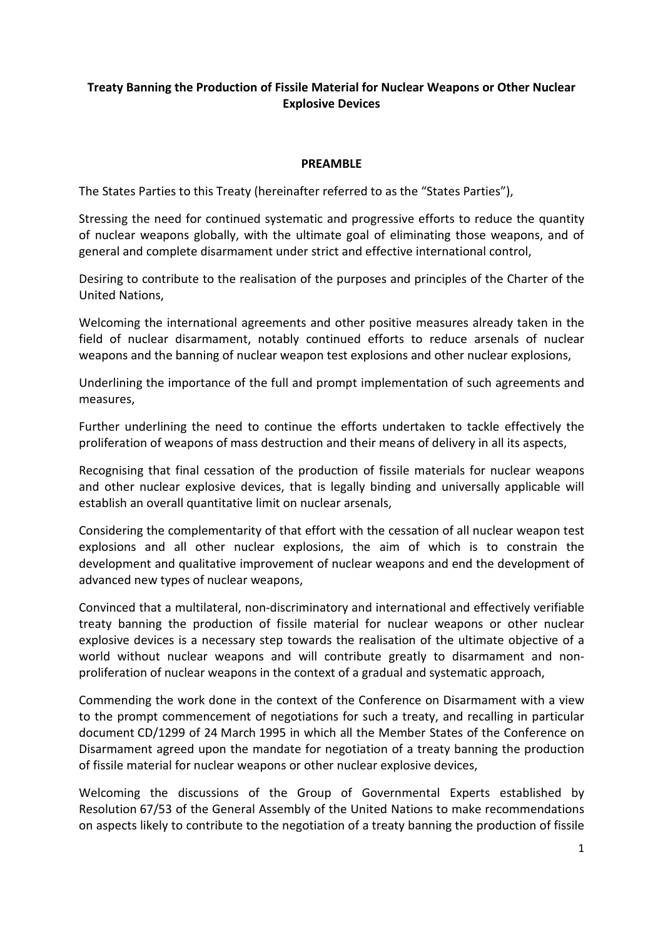# **Treaty Banning the Production of Fissile Material for Nuclear Weapons or Other Nuclear Explosive Devices**

### **PREAMBLE**

The States Parties to this Treaty (hereinafter referred to as the "States Parties"),

Stressing the need for continued systematic and progressive efforts to reduce the quantity of nuclear weapons globally, with the ultimate goal of eliminating those weapons, and of general and complete disarmament under strict and effective international control,

Desiring to contribute to the realisation of the purposes and principles of the Charter of the United Nations,

Welcoming the international agreements and other positive measures already taken in the field of nuclear disarmament, notably continued efforts to reduce arsenals of nuclear weapons and the banning of nuclear weapon test explosions and other nuclear explosions,

Underlining the importance of the full and prompt implementation of such agreements and measures,

Further underlining the need to continue the efforts undertaken to tackle effectively the proliferation of weapons of mass destruction and their means of delivery in all its aspects,

Recognising that final cessation of the production of fissile materials for nuclear weapons and other nuclear explosive devices, that is legally binding and universally applicable will establish an overall quantitative limit on nuclear arsenals,

Considering the complementarity of that effort with the cessation of all nuclear weapon test explosions and all other nuclear explosions, the aim of which is to constrain the development and qualitative improvement of nuclear weapons and end the development of advanced new types of nuclear weapons,

Convinced that a multilateral, non-discriminatory and international and effectively verifiable treaty banning the production of fissile material for nuclear weapons or other nuclear explosive devices is a necessary step towards the realisation of the ultimate objective of a world without nuclear weapons and will contribute greatly to disarmament and nonproliferation of nuclear weapons in the context of a gradual and systematic approach,

Commending the work done in the context of the Conference on Disarmament with a view to the prompt commencement of negotiations for such a treaty, and recalling in particular document CD/1299 of 24 March 1995 in which all the Member States of the Conference on Disarmament agreed upon the mandate for negotiation of a treaty banning the production of fissile material for nuclear weapons or other nuclear explosive devices,

Welcoming the discussions of the Group of Governmental Experts established by Resolution 67/53 of the General Assembly of the United Nations to make recommendations on aspects likely to contribute to the negotiation of a treaty banning the production of fissile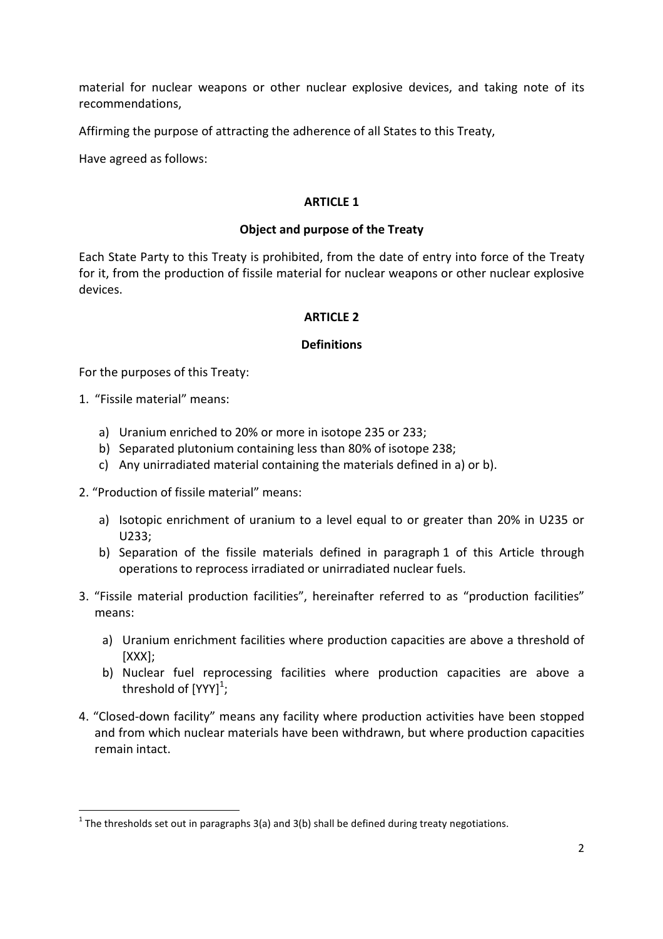material for nuclear weapons or other nuclear explosive devices, and taking note of its recommendations,

Affirming the purpose of attracting the adherence of all States to this Treaty,

Have agreed as follows:

### **ARTICLE 1**

### **Object and purpose of the Treaty**

Each State Party to this Treaty is prohibited, from the date of entry into force of the Treaty for it, from the production of fissile material for nuclear weapons or other nuclear explosive devices.

### **ARTICLE 2**

### **Definitions**

For the purposes of this Treaty:

1. "Fissile material" means:

l

- a) Uranium enriched to 20% or more in isotope 235 or 233;
- b) Separated plutonium containing less than 80% of isotope 238;
- c) Any unirradiated material containing the materials defined in a) or b).

2. "Production of fissile material" means:

- a) Isotopic enrichment of uranium to a level equal to or greater than 20% in U235 or U233;
- b) Separation of the fissile materials defined in paragraph 1 of this Article through operations to reprocess irradiated or unirradiated nuclear fuels.
- 3. "Fissile material production facilities", hereinafter referred to as "production facilities" means:
	- a) Uranium enrichment facilities where production capacities are above a threshold of [XXX];
	- b) Nuclear fuel reprocessing facilities where production capacities are above a threshold of  $[YYY]$ <sup>1</sup>;
- 4. "Closed-down facility" means any facility where production activities have been stopped and from which nuclear materials have been withdrawn, but where production capacities remain intact.

<sup>&</sup>lt;sup>1</sup> The thresholds set out in paragraphs 3(a) and 3(b) shall be defined during treaty negotiations.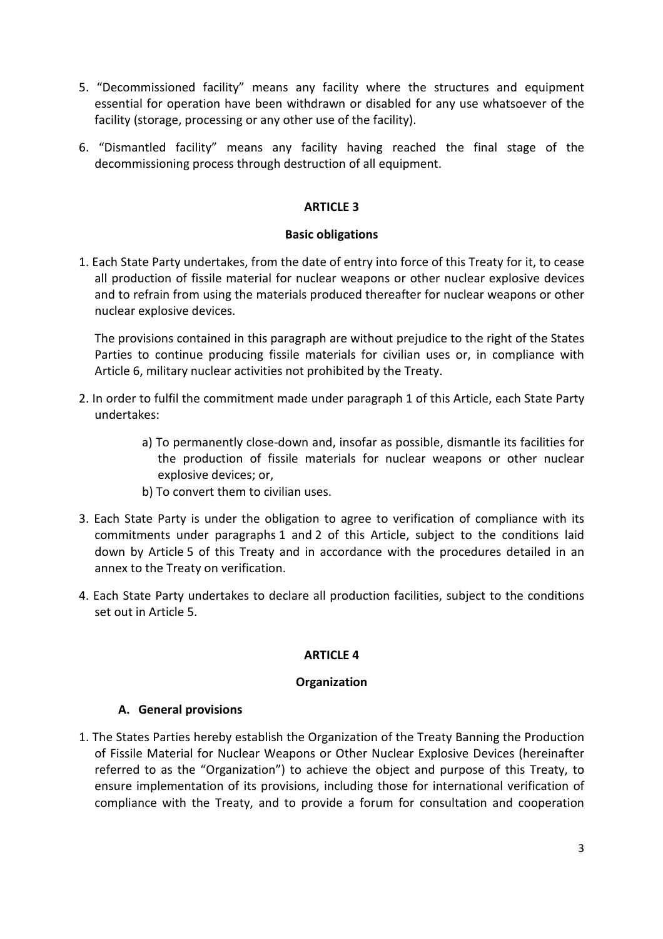- 5. "Decommissioned facility" means any facility where the structures and equipment essential for operation have been withdrawn or disabled for any use whatsoever of the facility (storage, processing or any other use of the facility).
- 6. "Dismantled facility" means any facility having reached the final stage of the decommissioning process through destruction of all equipment.

#### **Basic obligations**

1. Each State Party undertakes, from the date of entry into force of this Treaty for it, to cease all production of fissile material for nuclear weapons or other nuclear explosive devices and to refrain from using the materials produced thereafter for nuclear weapons or other nuclear explosive devices.

The provisions contained in this paragraph are without prejudice to the right of the States Parties to continue producing fissile materials for civilian uses or, in compliance with Article 6, military nuclear activities not prohibited by the Treaty.

- 2. In order to fulfil the commitment made under paragraph 1 of this Article, each State Party undertakes:
	- a) To permanently close-down and, insofar as possible, dismantle its facilities for the production of fissile materials for nuclear weapons or other nuclear explosive devices; or,
	- b) To convert them to civilian uses.
- 3. Each State Party is under the obligation to agree to verification of compliance with its commitments under paragraphs 1 and 2 of this Article, subject to the conditions laid down by Article 5 of this Treaty and in accordance with the procedures detailed in an annex to the Treaty on verification.
- 4. Each State Party undertakes to declare all production facilities, subject to the conditions set out in Article 5.

# **ARTICLE 4**

### **Organization**

### **A. General provisions**

1. The States Parties hereby establish the Organization of the Treaty Banning the Production of Fissile Material for Nuclear Weapons or Other Nuclear Explosive Devices (hereinafter referred to as the "Organization") to achieve the object and purpose of this Treaty, to ensure implementation of its provisions, including those for international verification of compliance with the Treaty, and to provide a forum for consultation and cooperation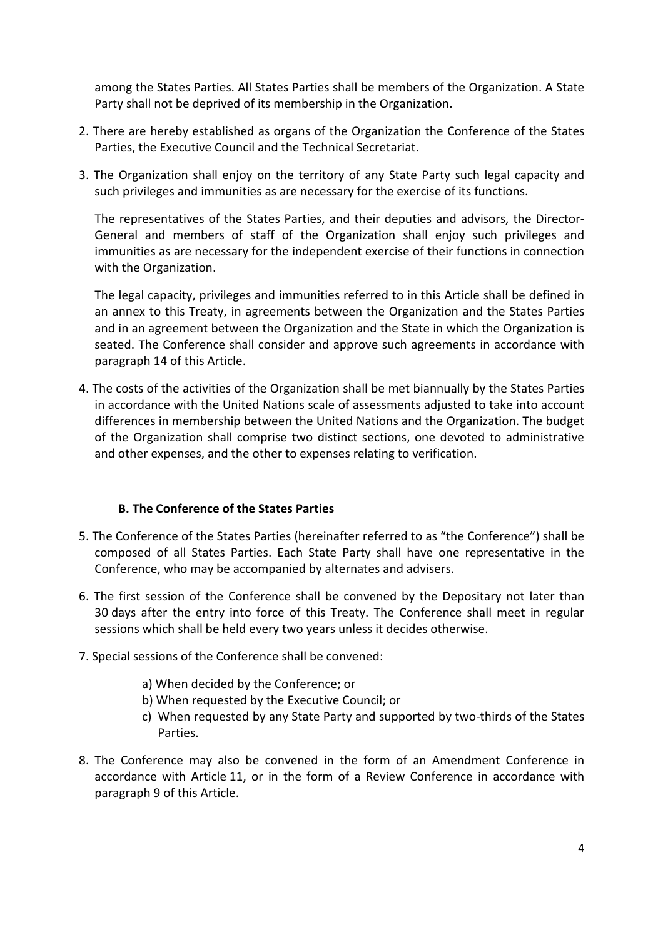among the States Parties. All States Parties shall be members of the Organization. A State Party shall not be deprived of its membership in the Organization.

- 2. There are hereby established as organs of the Organization the Conference of the States Parties, the Executive Council and the Technical Secretariat.
- 3. The Organization shall enjoy on the territory of any State Party such legal capacity and such privileges and immunities as are necessary for the exercise of its functions.

The representatives of the States Parties, and their deputies and advisors, the Director-General and members of staff of the Organization shall enjoy such privileges and immunities as are necessary for the independent exercise of their functions in connection with the Organization.

The legal capacity, privileges and immunities referred to in this Article shall be defined in an annex to this Treaty, in agreements between the Organization and the States Parties and in an agreement between the Organization and the State in which the Organization is seated. The Conference shall consider and approve such agreements in accordance with paragraph 14 of this Article.

4. The costs of the activities of the Organization shall be met biannually by the States Parties in accordance with the United Nations scale of assessments adjusted to take into account differences in membership between the United Nations and the Organization. The budget of the Organization shall comprise two distinct sections, one devoted to administrative and other expenses, and the other to expenses relating to verification.

# **B. The Conference of the States Parties**

- 5. The Conference of the States Parties (hereinafter referred to as "the Conference") shall be composed of all States Parties. Each State Party shall have one representative in the Conference, who may be accompanied by alternates and advisers.
- 6. The first session of the Conference shall be convened by the Depositary not later than 30 days after the entry into force of this Treaty. The Conference shall meet in regular sessions which shall be held every two years unless it decides otherwise.
- 7. Special sessions of the Conference shall be convened:
	- a) When decided by the Conference; or
	- b) When requested by the Executive Council; or
	- c) When requested by any State Party and supported by two-thirds of the States Parties.
- 8. The Conference may also be convened in the form of an Amendment Conference in accordance with Article 11, or in the form of a Review Conference in accordance with paragraph 9 of this Article.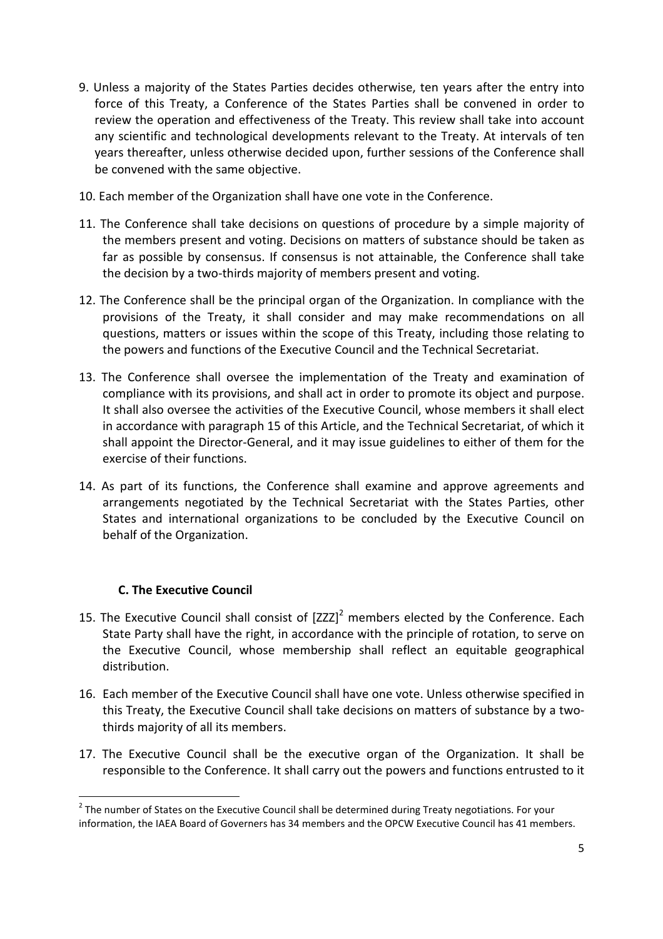- 9. Unless a majority of the States Parties decides otherwise, ten years after the entry into force of this Treaty, a Conference of the States Parties shall be convened in order to review the operation and effectiveness of the Treaty. This review shall take into account any scientific and technological developments relevant to the Treaty. At intervals of ten years thereafter, unless otherwise decided upon, further sessions of the Conference shall be convened with the same objective.
- 10. Each member of the Organization shall have one vote in the Conference.
- 11. The Conference shall take decisions on questions of procedure by a simple majority of the members present and voting. Decisions on matters of substance should be taken as far as possible by consensus. If consensus is not attainable, the Conference shall take the decision by a two-thirds majority of members present and voting.
- 12. The Conference shall be the principal organ of the Organization. In compliance with the provisions of the Treaty, it shall consider and may make recommendations on all questions, matters or issues within the scope of this Treaty, including those relating to the powers and functions of the Executive Council and the Technical Secretariat.
- 13. The Conference shall oversee the implementation of the Treaty and examination of compliance with its provisions, and shall act in order to promote its object and purpose. It shall also oversee the activities of the Executive Council, whose members it shall elect in accordance with paragraph 15 of this Article, and the Technical Secretariat, of which it shall appoint the Director-General, and it may issue guidelines to either of them for the exercise of their functions.
- 14. As part of its functions, the Conference shall examine and approve agreements and arrangements negotiated by the Technical Secretariat with the States Parties, other States and international organizations to be concluded by the Executive Council on behalf of the Organization.

# **C. The Executive Council**

l

- 15. The Executive Council shall consist of  $[ZZZ]^2$  members elected by the Conference. Each State Party shall have the right, in accordance with the principle of rotation, to serve on the Executive Council, whose membership shall reflect an equitable geographical distribution.
- 16. Each member of the Executive Council shall have one vote. Unless otherwise specified in this Treaty, the Executive Council shall take decisions on matters of substance by a twothirds majority of all its members.
- 17. The Executive Council shall be the executive organ of the Organization. It shall be responsible to the Conference. It shall carry out the powers and functions entrusted to it

 $2$  The number of States on the Executive Council shall be determined during Treaty negotiations. For your information, the IAEA Board of Governers has 34 members and the OPCW Executive Council has 41 members.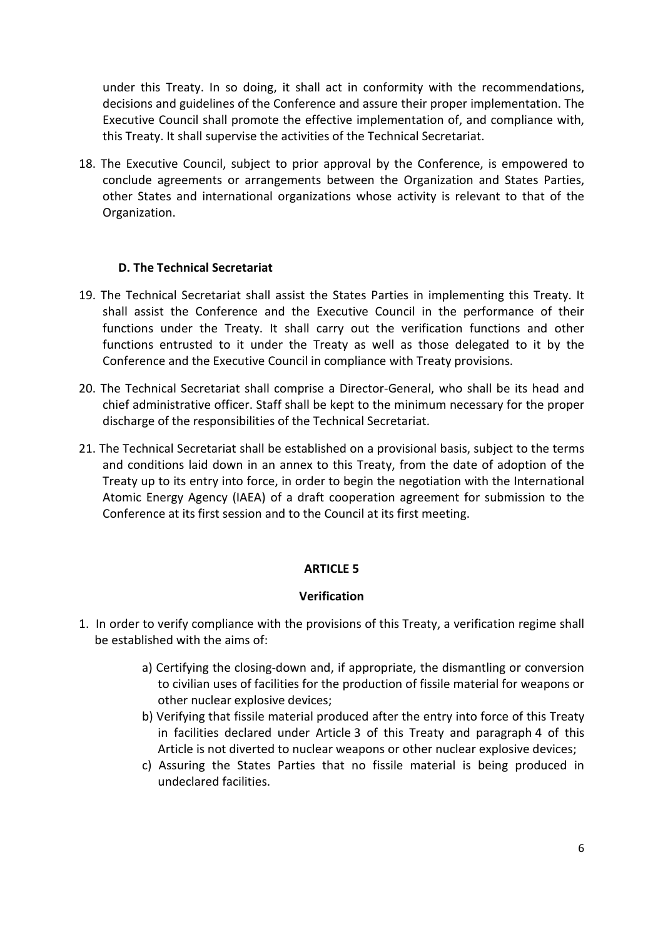under this Treaty. In so doing, it shall act in conformity with the recommendations, decisions and guidelines of the Conference and assure their proper implementation. The Executive Council shall promote the effective implementation of, and compliance with, this Treaty. It shall supervise the activities of the Technical Secretariat.

18. The Executive Council, subject to prior approval by the Conference, is empowered to conclude agreements or arrangements between the Organization and States Parties, other States and international organizations whose activity is relevant to that of the Organization.

### **D. The Technical Secretariat**

- 19. The Technical Secretariat shall assist the States Parties in implementing this Treaty. It shall assist the Conference and the Executive Council in the performance of their functions under the Treaty. It shall carry out the verification functions and other functions entrusted to it under the Treaty as well as those delegated to it by the Conference and the Executive Council in compliance with Treaty provisions.
- 20. The Technical Secretariat shall comprise a Director-General, who shall be its head and chief administrative officer. Staff shall be kept to the minimum necessary for the proper discharge of the responsibilities of the Technical Secretariat.
- 21. The Technical Secretariat shall be established on a provisional basis, subject to the terms and conditions laid down in an annex to this Treaty, from the date of adoption of the Treaty up to its entry into force, in order to begin the negotiation with the International Atomic Energy Agency (IAEA) of a draft cooperation agreement for submission to the Conference at its first session and to the Council at its first meeting.

# **ARTICLE 5**

### **Verification**

- 1. In order to verify compliance with the provisions of this Treaty, a verification regime shall be established with the aims of:
	- a) Certifying the closing-down and, if appropriate, the dismantling or conversion to civilian uses of facilities for the production of fissile material for weapons or other nuclear explosive devices;
	- b) Verifying that fissile material produced after the entry into force of this Treaty in facilities declared under Article 3 of this Treaty and paragraph 4 of this Article is not diverted to nuclear weapons or other nuclear explosive devices;
	- c) Assuring the States Parties that no fissile material is being produced in undeclared facilities.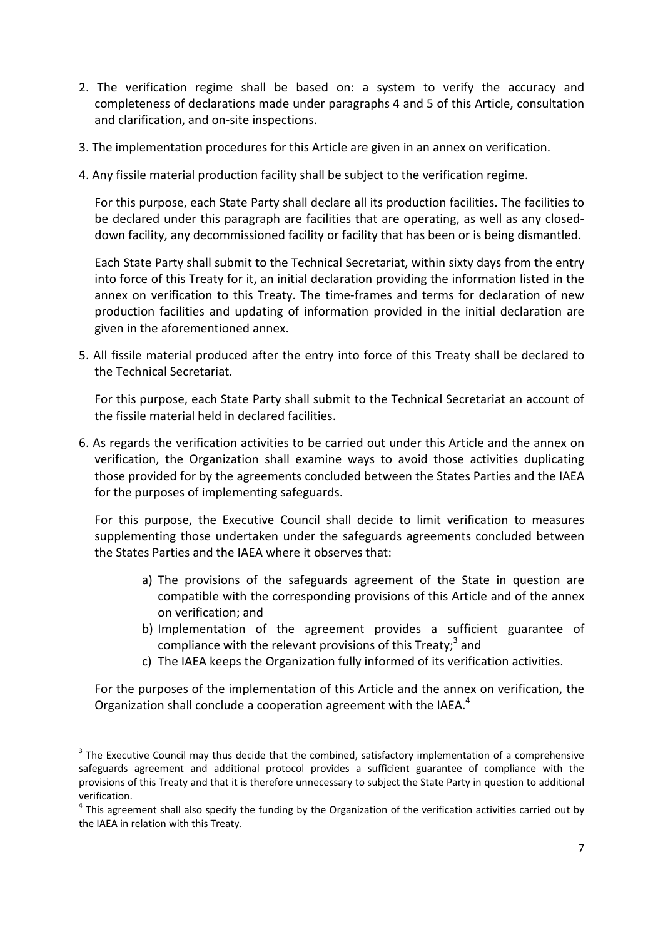- 2. The verification regime shall be based on: a system to verify the accuracy and completeness of declarations made under paragraphs 4 and 5 of this Article, consultation and clarification, and on-site inspections.
- 3. The implementation procedures for this Article are given in an annex on verification.
- 4. Any fissile material production facility shall be subject to the verification regime.

For this purpose, each State Party shall declare all its production facilities. The facilities to be declared under this paragraph are facilities that are operating, as well as any closeddown facility, any decommissioned facility or facility that has been or is being dismantled.

Each State Party shall submit to the Technical Secretariat, within sixty days from the entry into force of this Treaty for it, an initial declaration providing the information listed in the annex on verification to this Treaty. The time-frames and terms for declaration of new production facilities and updating of information provided in the initial declaration are given in the aforementioned annex.

5. All fissile material produced after the entry into force of this Treaty shall be declared to the Technical Secretariat.

For this purpose, each State Party shall submit to the Technical Secretariat an account of the fissile material held in declared facilities.

6. As regards the verification activities to be carried out under this Article and the annex on verification, the Organization shall examine ways to avoid those activities duplicating those provided for by the agreements concluded between the States Parties and the IAEA for the purposes of implementing safeguards.

For this purpose, the Executive Council shall decide to limit verification to measures supplementing those undertaken under the safeguards agreements concluded between the States Parties and the IAEA where it observes that:

- a) The provisions of the safeguards agreement of the State in question are compatible with the corresponding provisions of this Article and of the annex on verification; and
- b) Implementation of the agreement provides a sufficient guarantee of compliance with the relevant provisions of this Treaty;<sup>3</sup> and
- c) The IAEA keeps the Organization fully informed of its verification activities.

For the purposes of the implementation of this Article and the annex on verification, the Organization shall conclude a cooperation agreement with the IAEA.<sup>4</sup>

l

 $3$  The Executive Council may thus decide that the combined, satisfactory implementation of a comprehensive safeguards agreement and additional protocol provides a sufficient guarantee of compliance with the provisions of this Treaty and that it is therefore unnecessary to subject the State Party in question to additional verification.

 $<sup>4</sup>$  This agreement shall also specify the funding by the Organization of the verification activities carried out by</sup> the IAEA in relation with this Treaty.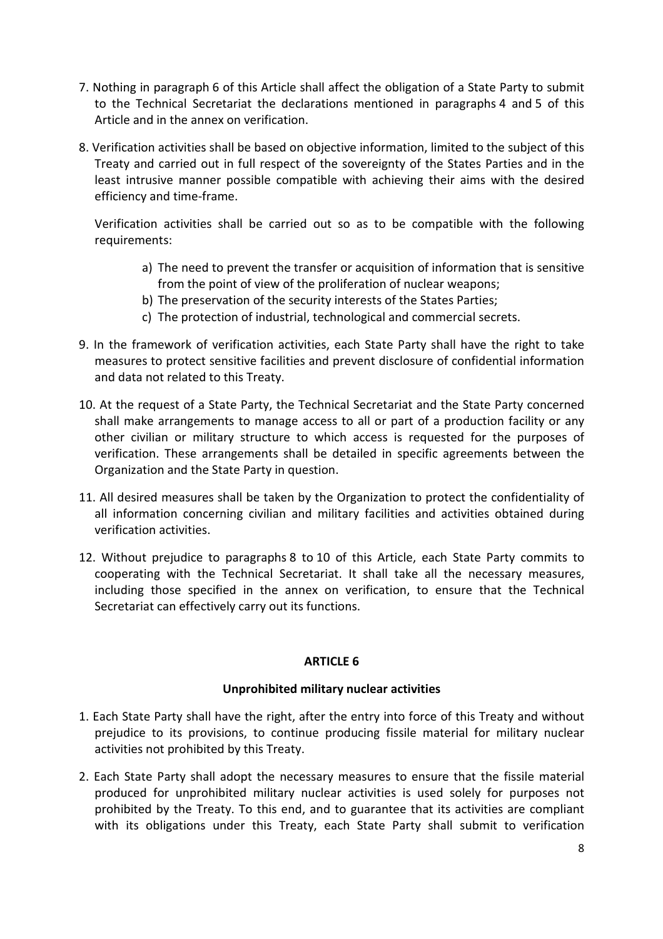- 7. Nothing in paragraph 6 of this Article shall affect the obligation of a State Party to submit to the Technical Secretariat the declarations mentioned in paragraphs 4 and 5 of this Article and in the annex on verification.
- 8. Verification activities shall be based on objective information, limited to the subject of this Treaty and carried out in full respect of the sovereignty of the States Parties and in the least intrusive manner possible compatible with achieving their aims with the desired efficiency and time-frame.

Verification activities shall be carried out so as to be compatible with the following requirements:

- a) The need to prevent the transfer or acquisition of information that is sensitive from the point of view of the proliferation of nuclear weapons;
- b) The preservation of the security interests of the States Parties;
- c) The protection of industrial, technological and commercial secrets.
- 9. In the framework of verification activities, each State Party shall have the right to take measures to protect sensitive facilities and prevent disclosure of confidential information and data not related to this Treaty.
- 10. At the request of a State Party, the Technical Secretariat and the State Party concerned shall make arrangements to manage access to all or part of a production facility or any other civilian or military structure to which access is requested for the purposes of verification. These arrangements shall be detailed in specific agreements between the Organization and the State Party in question.
- 11. All desired measures shall be taken by the Organization to protect the confidentiality of all information concerning civilian and military facilities and activities obtained during verification activities.
- 12. Without prejudice to paragraphs 8 to 10 of this Article, each State Party commits to cooperating with the Technical Secretariat. It shall take all the necessary measures, including those specified in the annex on verification, to ensure that the Technical Secretariat can effectively carry out its functions.

### **ARTICLE 6**

### **Unprohibited military nuclear activities**

- 1. Each State Party shall have the right, after the entry into force of this Treaty and without prejudice to its provisions, to continue producing fissile material for military nuclear activities not prohibited by this Treaty.
- 2. Each State Party shall adopt the necessary measures to ensure that the fissile material produced for unprohibited military nuclear activities is used solely for purposes not prohibited by the Treaty. To this end, and to guarantee that its activities are compliant with its obligations under this Treaty, each State Party shall submit to verification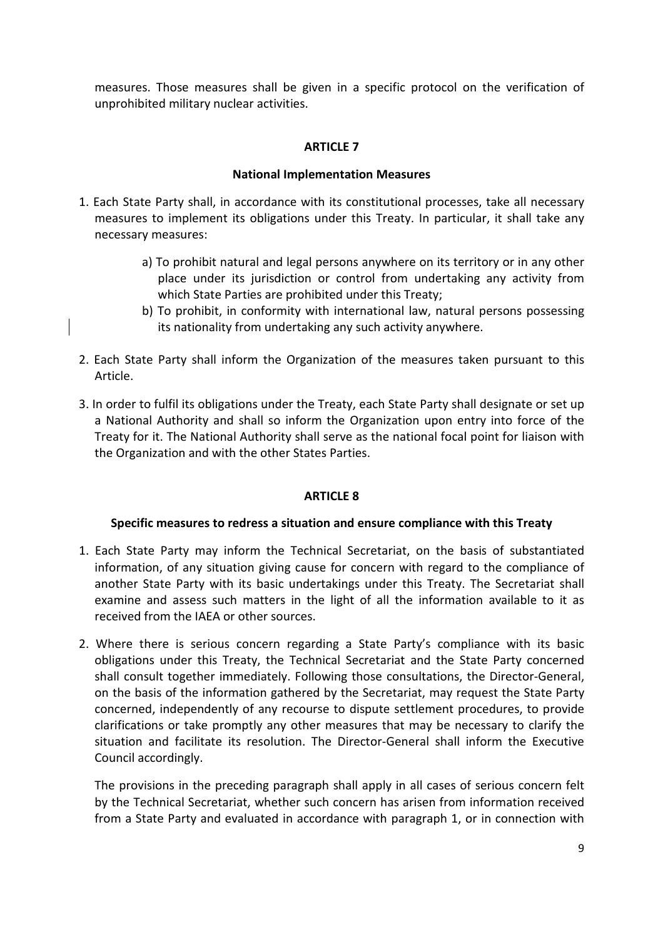measures. Those measures shall be given in a specific protocol on the verification of unprohibited military nuclear activities.

# **ARTICLE 7**

# **National Implementation Measures**

- 1. Each State Party shall, in accordance with its constitutional processes, take all necessary measures to implement its obligations under this Treaty. In particular, it shall take any necessary measures:
	- a) To prohibit natural and legal persons anywhere on its territory or in any other place under its jurisdiction or control from undertaking any activity from which State Parties are prohibited under this Treaty;
	- b) To prohibit, in conformity with international law, natural persons possessing its nationality from undertaking any such activity anywhere.
- 2. Each State Party shall inform the Organization of the measures taken pursuant to this Article.
- 3. In order to fulfil its obligations under the Treaty, each State Party shall designate or set up a National Authority and shall so inform the Organization upon entry into force of the Treaty for it. The National Authority shall serve as the national focal point for liaison with the Organization and with the other States Parties.

# **ARTICLE 8**

# **Specific measures to redress a situation and ensure compliance with this Treaty**

- 1. Each State Party may inform the Technical Secretariat, on the basis of substantiated information, of any situation giving cause for concern with regard to the compliance of another State Party with its basic undertakings under this Treaty. The Secretariat shall examine and assess such matters in the light of all the information available to it as received from the IAEA or other sources.
- 2. Where there is serious concern regarding a State Party's compliance with its basic obligations under this Treaty, the Technical Secretariat and the State Party concerned shall consult together immediately. Following those consultations, the Director-General, on the basis of the information gathered by the Secretariat, may request the State Party concerned, independently of any recourse to dispute settlement procedures, to provide clarifications or take promptly any other measures that may be necessary to clarify the situation and facilitate its resolution. The Director-General shall inform the Executive Council accordingly.

The provisions in the preceding paragraph shall apply in all cases of serious concern felt by the Technical Secretariat, whether such concern has arisen from information received from a State Party and evaluated in accordance with paragraph 1, or in connection with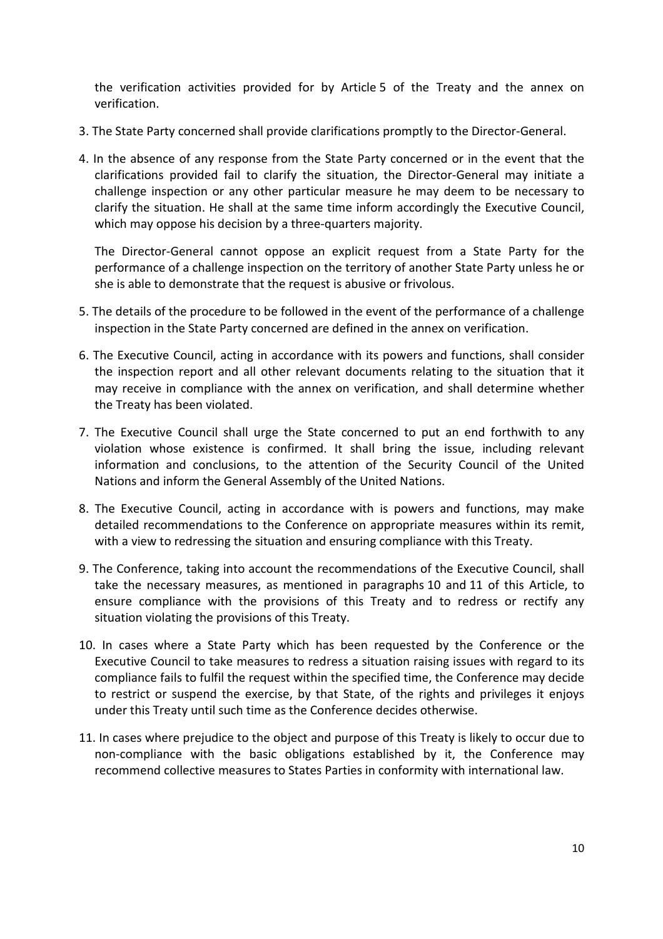the verification activities provided for by Article 5 of the Treaty and the annex on verification.

- 3. The State Party concerned shall provide clarifications promptly to the Director-General.
- 4. In the absence of any response from the State Party concerned or in the event that the clarifications provided fail to clarify the situation, the Director-General may initiate a challenge inspection or any other particular measure he may deem to be necessary to clarify the situation. He shall at the same time inform accordingly the Executive Council, which may oppose his decision by a three-quarters majority.

The Director-General cannot oppose an explicit request from a State Party for the performance of a challenge inspection on the territory of another State Party unless he or she is able to demonstrate that the request is abusive or frivolous.

- 5. The details of the procedure to be followed in the event of the performance of a challenge inspection in the State Party concerned are defined in the annex on verification.
- 6. The Executive Council, acting in accordance with its powers and functions, shall consider the inspection report and all other relevant documents relating to the situation that it may receive in compliance with the annex on verification, and shall determine whether the Treaty has been violated.
- 7. The Executive Council shall urge the State concerned to put an end forthwith to any violation whose existence is confirmed. It shall bring the issue, including relevant information and conclusions, to the attention of the Security Council of the United Nations and inform the General Assembly of the United Nations.
- 8. The Executive Council, acting in accordance with is powers and functions, may make detailed recommendations to the Conference on appropriate measures within its remit, with a view to redressing the situation and ensuring compliance with this Treaty.
- 9. The Conference, taking into account the recommendations of the Executive Council, shall take the necessary measures, as mentioned in paragraphs 10 and 11 of this Article, to ensure compliance with the provisions of this Treaty and to redress or rectify any situation violating the provisions of this Treaty.
- 10. In cases where a State Party which has been requested by the Conference or the Executive Council to take measures to redress a situation raising issues with regard to its compliance fails to fulfil the request within the specified time, the Conference may decide to restrict or suspend the exercise, by that State, of the rights and privileges it enjoys under this Treaty until such time as the Conference decides otherwise.
- 11. In cases where prejudice to the object and purpose of this Treaty is likely to occur due to non-compliance with the basic obligations established by it, the Conference may recommend collective measures to States Parties in conformity with international law.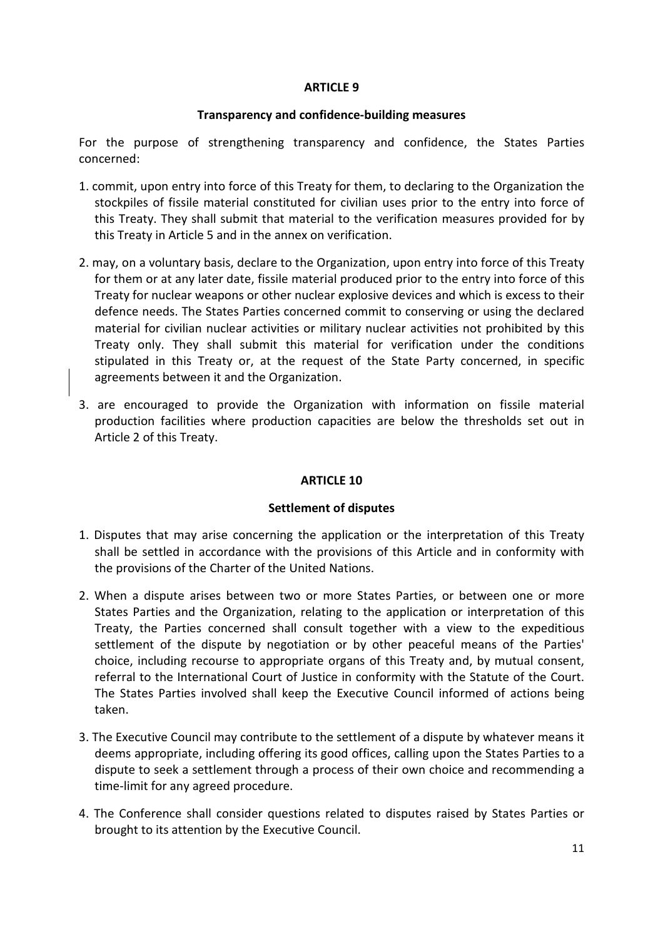### **Transparency and confidence-building measures**

For the purpose of strengthening transparency and confidence, the States Parties concerned:

- 1. commit, upon entry into force of this Treaty for them, to declaring to the Organization the stockpiles of fissile material constituted for civilian uses prior to the entry into force of this Treaty. They shall submit that material to the verification measures provided for by this Treaty in Article 5 and in the annex on verification.
- 2. may, on a voluntary basis, declare to the Organization, upon entry into force of this Treaty for them or at any later date, fissile material produced prior to the entry into force of this Treaty for nuclear weapons or other nuclear explosive devices and which is excess to their defence needs. The States Parties concerned commit to conserving or using the declared material for civilian nuclear activities or military nuclear activities not prohibited by this Treaty only. They shall submit this material for verification under the conditions stipulated in this Treaty or, at the request of the State Party concerned, in specific agreements between it and the Organization.
- 3. are encouraged to provide the Organization with information on fissile material production facilities where production capacities are below the thresholds set out in Article 2 of this Treaty.

# **ARTICLE 10**

# **Settlement of disputes**

- 1. Disputes that may arise concerning the application or the interpretation of this Treaty shall be settled in accordance with the provisions of this Article and in conformity with the provisions of the Charter of the United Nations.
- 2. When a dispute arises between two or more States Parties, or between one or more States Parties and the Organization, relating to the application or interpretation of this Treaty, the Parties concerned shall consult together with a view to the expeditious settlement of the dispute by negotiation or by other peaceful means of the Parties' choice, including recourse to appropriate organs of this Treaty and, by mutual consent, referral to the International Court of Justice in conformity with the Statute of the Court. The States Parties involved shall keep the Executive Council informed of actions being taken.
- 3. The Executive Council may contribute to the settlement of a dispute by whatever means it deems appropriate, including offering its good offices, calling upon the States Parties to a dispute to seek a settlement through a process of their own choice and recommending a time-limit for any agreed procedure.
- 4. The Conference shall consider questions related to disputes raised by States Parties or brought to its attention by the Executive Council.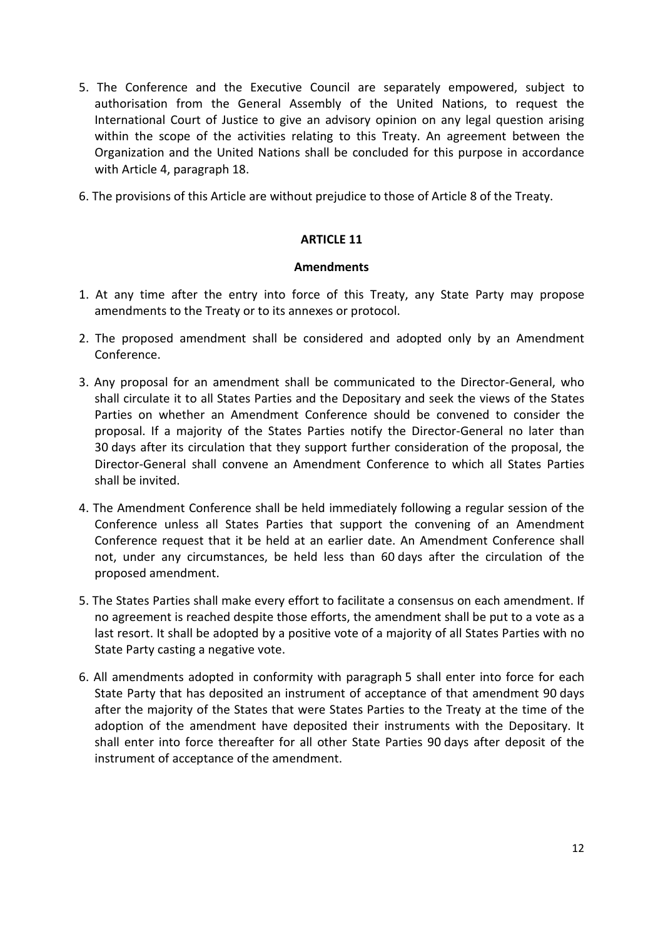- 5. The Conference and the Executive Council are separately empowered, subject to authorisation from the General Assembly of the United Nations, to request the International Court of Justice to give an advisory opinion on any legal question arising within the scope of the activities relating to this Treaty. An agreement between the Organization and the United Nations shall be concluded for this purpose in accordance with Article 4, paragraph 18.
- 6. The provisions of this Article are without prejudice to those of Article 8 of the Treaty.

#### **Amendments**

- 1. At any time after the entry into force of this Treaty, any State Party may propose amendments to the Treaty or to its annexes or protocol.
- 2. The proposed amendment shall be considered and adopted only by an Amendment Conference.
- 3. Any proposal for an amendment shall be communicated to the Director-General, who shall circulate it to all States Parties and the Depositary and seek the views of the States Parties on whether an Amendment Conference should be convened to consider the proposal. If a majority of the States Parties notify the Director-General no later than 30 days after its circulation that they support further consideration of the proposal, the Director-General shall convene an Amendment Conference to which all States Parties shall be invited.
- 4. The Amendment Conference shall be held immediately following a regular session of the Conference unless all States Parties that support the convening of an Amendment Conference request that it be held at an earlier date. An Amendment Conference shall not, under any circumstances, be held less than 60 days after the circulation of the proposed amendment.
- 5. The States Parties shall make every effort to facilitate a consensus on each amendment. If no agreement is reached despite those efforts, the amendment shall be put to a vote as a last resort. It shall be adopted by a positive vote of a majority of all States Parties with no State Party casting a negative vote.
- 6. All amendments adopted in conformity with paragraph 5 shall enter into force for each State Party that has deposited an instrument of acceptance of that amendment 90 days after the majority of the States that were States Parties to the Treaty at the time of the adoption of the amendment have deposited their instruments with the Depositary. It shall enter into force thereafter for all other State Parties 90 days after deposit of the instrument of acceptance of the amendment.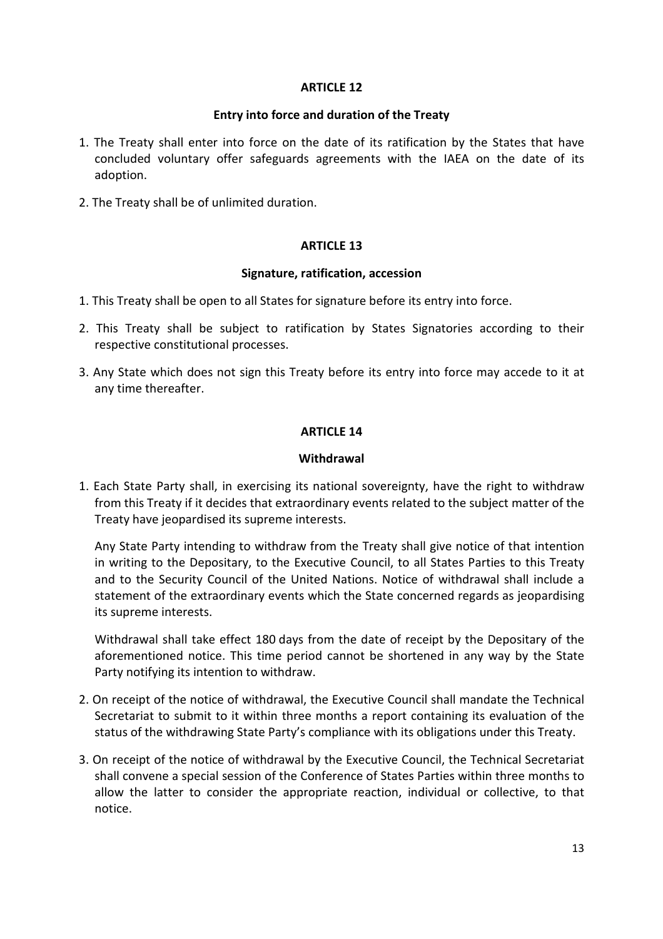### **Entry into force and duration of the Treaty**

- 1. The Treaty shall enter into force on the date of its ratification by the States that have concluded voluntary offer safeguards agreements with the IAEA on the date of its adoption.
- 2. The Treaty shall be of unlimited duration.

### **ARTICLE 13**

### **Signature, ratification, accession**

- 1. This Treaty shall be open to all States for signature before its entry into force.
- 2. This Treaty shall be subject to ratification by States Signatories according to their respective constitutional processes.
- 3. Any State which does not sign this Treaty before its entry into force may accede to it at any time thereafter.

### **ARTICLE 14**

### **Withdrawal**

1. Each State Party shall, in exercising its national sovereignty, have the right to withdraw from this Treaty if it decides that extraordinary events related to the subject matter of the Treaty have jeopardised its supreme interests.

Any State Party intending to withdraw from the Treaty shall give notice of that intention in writing to the Depositary, to the Executive Council, to all States Parties to this Treaty and to the Security Council of the United Nations. Notice of withdrawal shall include a statement of the extraordinary events which the State concerned regards as jeopardising its supreme interests.

Withdrawal shall take effect 180 days from the date of receipt by the Depositary of the aforementioned notice. This time period cannot be shortened in any way by the State Party notifying its intention to withdraw.

- 2. On receipt of the notice of withdrawal, the Executive Council shall mandate the Technical Secretariat to submit to it within three months a report containing its evaluation of the status of the withdrawing State Party's compliance with its obligations under this Treaty.
- 3. On receipt of the notice of withdrawal by the Executive Council, the Technical Secretariat shall convene a special session of the Conference of States Parties within three months to allow the latter to consider the appropriate reaction, individual or collective, to that notice.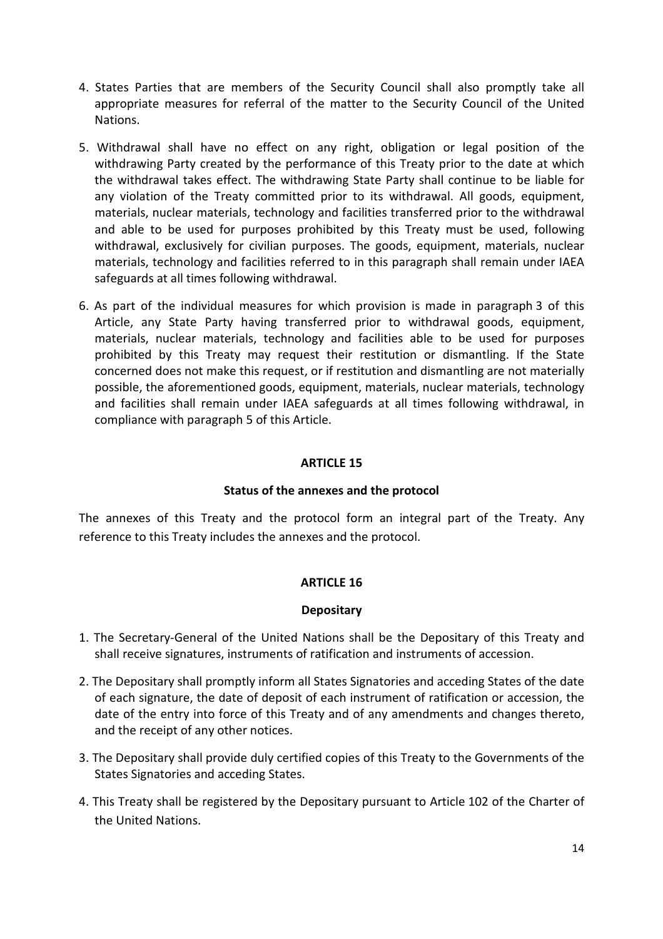- 4. States Parties that are members of the Security Council shall also promptly take all appropriate measures for referral of the matter to the Security Council of the United Nations.
- 5. Withdrawal shall have no effect on any right, obligation or legal position of the withdrawing Party created by the performance of this Treaty prior to the date at which the withdrawal takes effect. The withdrawing State Party shall continue to be liable for any violation of the Treaty committed prior to its withdrawal. All goods, equipment, materials, nuclear materials, technology and facilities transferred prior to the withdrawal and able to be used for purposes prohibited by this Treaty must be used, following withdrawal, exclusively for civilian purposes. The goods, equipment, materials, nuclear materials, technology and facilities referred to in this paragraph shall remain under IAEA safeguards at all times following withdrawal.
- 6. As part of the individual measures for which provision is made in paragraph 3 of this Article, any State Party having transferred prior to withdrawal goods, equipment, materials, nuclear materials, technology and facilities able to be used for purposes prohibited by this Treaty may request their restitution or dismantling. If the State concerned does not make this request, or if restitution and dismantling are not materially possible, the aforementioned goods, equipment, materials, nuclear materials, technology and facilities shall remain under IAEA safeguards at all times following withdrawal, in compliance with paragraph 5 of this Article.

### **Status of the annexes and the protocol**

The annexes of this Treaty and the protocol form an integral part of the Treaty. Any reference to this Treaty includes the annexes and the protocol.

# **ARTICLE 16**

### **Depositary**

- 1. The Secretary-General of the United Nations shall be the Depositary of this Treaty and shall receive signatures, instruments of ratification and instruments of accession.
- 2. The Depositary shall promptly inform all States Signatories and acceding States of the date of each signature, the date of deposit of each instrument of ratification or accession, the date of the entry into force of this Treaty and of any amendments and changes thereto, and the receipt of any other notices.
- 3. The Depositary shall provide duly certified copies of this Treaty to the Governments of the States Signatories and acceding States.
- 4. This Treaty shall be registered by the Depositary pursuant to Article 102 of the Charter of the United Nations.